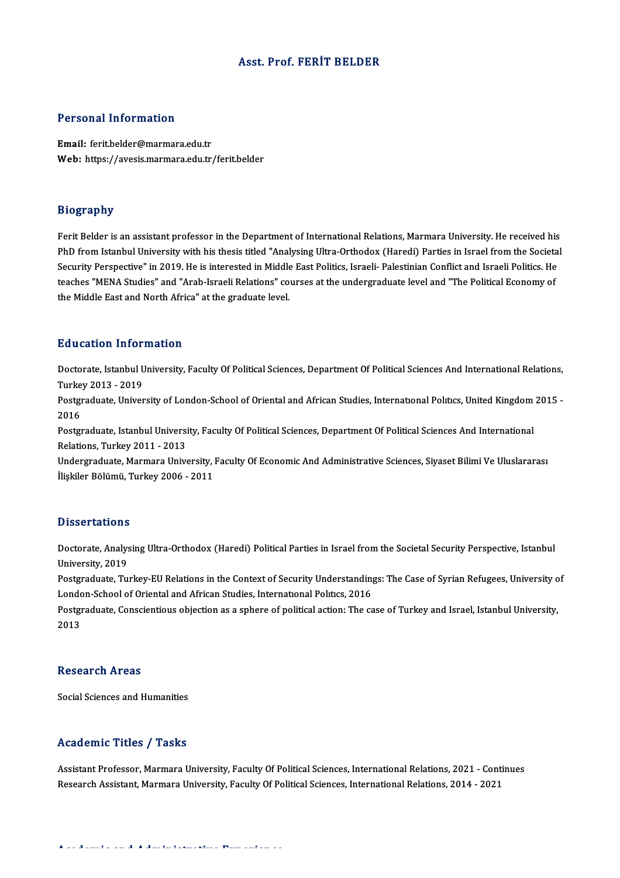### Asst. Prof. FERİT BELDER

### Personal Information

Email: ferit.belder@marmara.edu.tr Web: https://avesis.marmara.edu.tr/ferit.belder

### Biography

Ferit Belder is an assistant professor in the Department of International Relations, Marmara University. He received his PhD from Istanbul University with his thesis titled "Analysing Ultra-Orthodox (Haredi) Parties in Israel from the Societal Ferit Belder is an assistant professor in the Department of International Relations, Marmara University. He received his<br>PhD from Istanbul University with his thesis titled "Analysing Ultra-Orthodox (Haredi) Parties in Isr PhD from Istanbul University with his thesis titled "Analysing Ultra-Orthodox (Haredi) Parties in Israel from the Societa<br>Security Perspective" in 2019. He is interested in Middle East Politics, Israeli- Palestinian Confli Security Perspective" in 2019. He is interested in Middle<br>teaches "MENA Studies" and "Arab-Israeli Relations" co<br>the Middle East and North Africa" at the graduate level. the Middle East and North Africa" at the graduate level.<br>Education Information

**Education Information**<br>Doctorate, Istanbul University, Faculty Of Political Sciences, Department Of Political Sciences And International Relations,<br>Turkey 2012, -2019 Eu acation Tirror<br>Doctorate, Istanbul U<br>Turkey 2013 - 2019<br>Postanaduate Univer Doctorate, Istanbul University, Faculty Of Political Sciences, Department Of Political Sciences And International Relations,<br>Turkey 2013 - 2019<br>Postgraduate, University of London-School of Oriental and African Studies, Int

Turkey 2013 - 2019<br>Postgraduate, University of London-School of Oriental and African Studies, International Politics, United Kingdom 2015 -<br>2016 Postgraduate, University of London-School of Oriental and African Studies, International Politics, United Kingdom<br>2016<br>Postgraduate, Istanbul University, Faculty Of Political Sciences, Department Of Political Sciences And

2016<br>Postgraduate, Istanbul Universi<br>Relations, Turkey 2011 - 2013<br>Undergraduate Marmara Unive Postgraduate, Istanbul University, Faculty Of Political Sciences, Department Of Political Sciences And International<br>Relations, Turkey 2011 - 2013<br>Undergraduate, Marmara University, Faculty Of Economic And Administrative S

Relations, Turkey 2011 - 2013<br>Undergraduate, Marmara University, l<br>İlişkiler Bölümü, Turkey 2006 - 2011 İlişkiler Bölümü, Turkey 2006 - 2011<br>Dissertations

Dissertations<br>Doctorate, Analysing Ultra-Orthodox (Haredi) Political Parties in Israel from the Societal Security Perspective, Istanbul<br>University, 2019 Dissolitations<br>Doctorate, Analys<br>University, 2019 Doctorate, Analysing Ultra-Orthodox (Haredi) Political Parties in Israel from the Societal Security Perspective, Istanbul<br>University, 2019<br>Postgraduate, Turkey-EU Relations in the Context of Security Understandings: The Ca

University, 2019<br>Postgraduate, Turkey-EU Relations in the Context of Security Understandings: The Case of Syrian Refugees, University of<br>London-School of Oriental and African Studies, International Politics, 2016 Postgraduate, Turkey-EU Relations in the Context of Security Understandings: The Case of Syrian Refugees, University o<br>London-School of Oriental and African Studies, International Politics, 2016<br>Postgraduate, Conscientious

Londc<br>Postgı<br>2013 2013<br>Research Areas

Social Sciences and Humanities

### Academic Titles / Tasks

Academic Titles / Tasks<br>Assistant Professor, Marmara University, Faculty Of Political Sciences, International Relations, 2021 - Continues<br>Research Assistant Marmara University, Faculty Of Political Sciences, International ResearchAssistant,MarmaraUniversity,FacultyOfPoliticalSciences, InternationalRelations,2014 -2021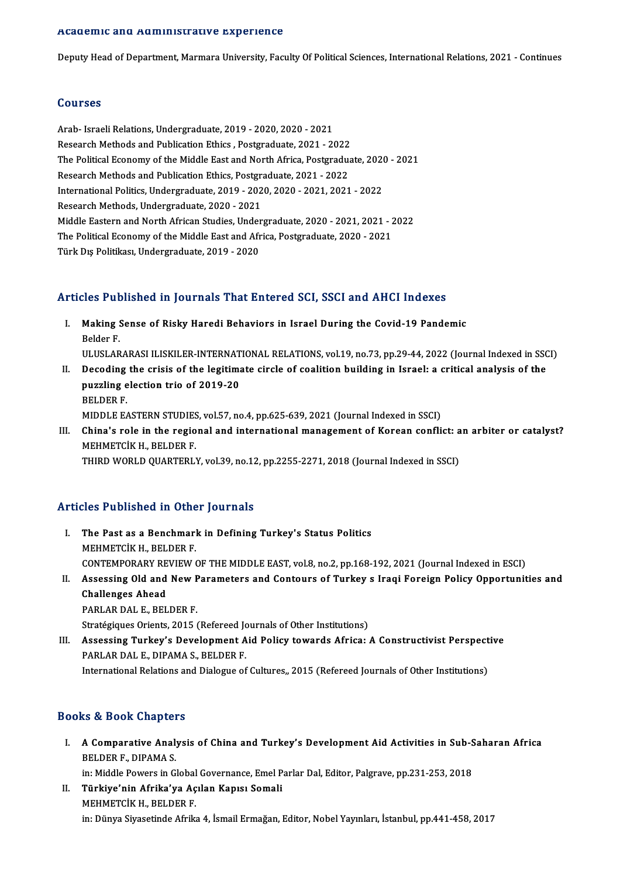### Academic and Administrative Experience

Deputy Head of Department, Marmara University, Faculty Of Political Sciences, International Relations, 2021 - Continues

### Courses

Arab- IsraeliRelations,Undergraduate,2019 -2020,2020 -2021 Research Methods and Publication Ethics, Postgraduate, 2021 - 2022 Arab- Israeli Relations, Undergraduate, 2019 - 2020, 2020 - 2021<br>Research Methods and Publication Ethics , Postgraduate, 2021 - 2022<br>The Political Economy of the Middle East and North Africa, Postgraduate, 2020 - 2021<br>Rese Research Methods and Publication Ethics , Postgraduate, 2021 - 2022<br>The Political Economy of the Middle East and North Africa, Postgradua<br>Research Methods and Publication Ethics, Postgraduate, 2021 - 2022<br>International Pol The Political Economy of the Middle East and North Africa, Postgraduate, 2020<br>Research Methods and Publication Ethics, Postgraduate, 2021 - 2022<br>International Politics, Undergraduate, 2019 - 2020, 2020 - 2021, 2021 - 2022<br> Research Methods and Publication Ethics, Postgraduate, 2021 - 2022<br>International Politics, Undergraduate, 2019 - 2020, 2020 - 2021, 2021 - 2022<br>Research Methods, Undergraduate, 2020 - 2021 International Politics, Undergraduate, 2019 - 2020, 2020 - 2021, 2021 - 2022<br>Research Methods, Undergraduate, 2020 - 2021<br>Middle Eastern and North African Studies, Undergraduate, 2020 - 2021, 2021 - 2022<br>The Political Econ Research Methods, Undergraduate, 2020 - 2021<br>Middle Eastern and North African Studies, Undergraduate, 2020 - 2021, 2021 - 2<br>The Political Economy of the Middle East and Africa, Postgraduate, 2020 - 2021<br>Türk Dis Politikasi Middle Eastern and North African Studies, Under<br>The Political Economy of the Middle East and Afr<br>Türk Dış Politikası, Undergraduate, 2019 - 2020

# Türk Dış Politikası, Undergraduate, 2019 - 2020<br>Articles Published in Journals That Entered SCI, SSCI and AHCI Indexes

- rticles Published in Journals That Entered SCI, SSCI and AHCI Indexes<br>I. Making Sense of Risky Haredi Behaviors in Israel During the Covid-19 Pandemic<br>Relder E Making S<br>Making S<br>Belder F. Belder F.<br>ULUSLARARASI ILISKILER-INTERNATIONAL RELATIONS, vol.19, no.73, pp.29-44, 2022 (Journal Indexed in SSCI) Belder F.<br>ULUSLARARASI ILISKILER-INTERNATIONAL RELATIONS, vol.19, no.73, pp.29-44, 2022 (Journal Indexed in SSC<br>II. Decoding the crisis of the legitimate circle of coalition building in Israel: a critical analysis of the<br>n
- ULUSLARARASI ILISKILER-INTERNAT<br>Decoding the crisis of the legitima<br>puzzling election trio of 2019-20<br>PELDER E **Decoding<br>puzzling e<br>BELDER F.<br>MIDDLE F/** puzzling election trio of 2019-20<br>BELDER F.<br>MIDDLE EASTERN STUDIES, vol.57, no.4, pp.625-639, 2021 (Journal Indexed in SSCI) BELDER F.<br>MIDDLE EASTERN STUDIES, vol.57, no.4, pp.625-639, 2021 (Journal Indexed in SSCI)<br>III. China's role in the regional and international management of Korean conflict: an arbiter or catalyst?<br>MEUMETCIV U. REI DER E
- MIDDLE EASTERN STUDIES<br>China's role in the regio<br>MEHMETCİK H., BELDER F.<br>THIPD WORLD QUARTERLY China's role in the regional and international management of Korean conflict: a<br>MEHMETCİK H., BELDER F.<br>THIRD WORLD QUARTERLY, vol.39, no.12, pp.2255-2271, 2018 (Journal Indexed in SSCI) THIRD WORLD QUARTERLY, vol.39, no.12, pp.2255-2271, 2018 (Journal Indexed in SSCI)<br>Articles Published in Other Journals

- Thicles Published in Other Journals<br>I. The Past as a Benchmark in Defining Turkey's Status Politics<br>MEUMETCLY H. BELDER E The Past as a Benchmark<br>MEHMETCİK H., BELDER F.<br>CONTEMPORAPY PEVIEW The Past as a Benchmark in Defining Turkey's Status Politics<br>MEHMETCIK H., BELDER F.<br>CONTEMPORARY REVIEW OF THE MIDDLE EAST, vol.8, no.2, pp.168-192, 2021 (Journal Indexed in ESCI)<br>Assessing Old and New Baramatars and Cant MEHMETCİK H., BELDER F.<br>CONTEMPORARY REVIEW OF THE MIDDLE EAST, vol.8, no.2, pp.168-192, 2021 (Journal Indexed in ESCI)<br>II. Assessing Old and New Parameters and Contours of Turkey s Iraqi Foreign Policy Opportunities a
- CONTEMPORARY RE<br>Assessing Old and<br>Challenges Ahead II. Assessing Old and New Parameters and Contours of Turkey s Iraqi Foreign Policy Opportunities and<br>Challenges Ahead<br>PARLAR DAL E., BELDER F. Challenges Ahead<br>PARLAR DAL E., BELDER F.<br>Stratégiques Orients, 2015 (Refereed Journals of Other Institutions)<br>Assessing Turkey's Development Aid Bolisy tewards Africa.

III. Assessing Turkey's Development Aid Policy towards Africa: A Constructivist Perspective PARLAR DAL E., DIPAMA S., BELDER F. Stratégiques Orients, 2015 (Refereed Jones Assessing Turkey's Development A<br>PARLAR DAL E., DIPAMA S., BELDER F.<br>International Polations and Dialogue of International Relations and Dialogue of Cultures, 2015 (Refereed Journals of Other Institutions)

## Books&Book Chapters

ooks & Book Chapters<br>I. A Comparative Analysis of China and Turkey's Development Aid Activities in Sub-Saharan Africa<br>RELDER E, DIRAMA S BELDER F., DIPAMA S.<br>BELDER F., DIPAMA S.<br>in: Middle Bowers in C. A Comparative Analysis of China and Turkey's Development Aid Activities in Sub-S<br>BELDER F., DIPAMA S.<br>in: Middle Powers in Global Governance, Emel Parlar Dal, Editor, Palgrave, pp.231-253, 2018<br>Türkiye'nin Afrike'ye Asılan BELDER F., DIPAMA S.<br>in: Middle Powers in Global Governance, Emel Parlar Dal, Editor, Palgrave, pp.231-253, 2018<br>II. Türkiye'nin Afrika'ya Açılan Kapısı Somali

MEHMETCİKH.,BELDERF. in:Dünya SiyasetindeAfrika 4, İsmailErmağan,Editor,NobelYayınları, İstanbul,pp.441-458,2017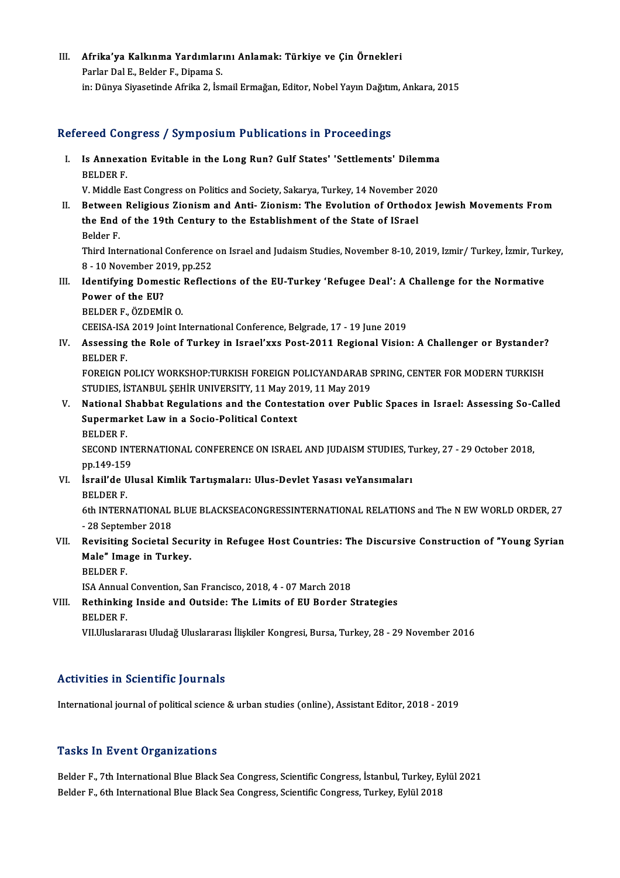III. Afrika'ya Kalkınma Yardımlarını Anlamak: Türkiye ve Çin Örnekleri<br>Rarlar Dal E. Belder E. Dinama S Afrika'ya Kalkınma Yardımları<br>Parlar Dal E., Belder F., Dipama S.<br>in: Dünya Siyasatinda Afrika 2 Jan Parlar Dal E., Belder F., Dipama S.<br>in: Dünya Siyasetinde Afrika 2, İsmail Ermağan, Editor, Nobel Yayın Dağıtım, Ankara, 2015

## Refereed Congress / Symposium Publications in Proceedings

efereed Congress / Symposium Publications in Proceedings<br>I. Is Annexation Evitable in the Long Run? Gulf States' 'Settlements' Dilemma<br>RELDER E Is Annexa<br>BELDER F.<br>W. Middle F. Is Annexation Evitable in the Long Run? Gulf States' 'Settlements' Dilemma<br>BELDER F.<br>V. Middle East Congress on Politics and Society, Sakarya, Turkey, 14 November 2020<br>Between Bolisieus Zionism and Anti-Zionism: The Evolut

BELDER F.<br>V. Middle East Congress on Politics and Society, Sakarya, Turkey, 14 November 2020<br>II. Between Religious Zionism and Anti- Zionism: The Evolution of Orthodox Jewish Movements From V. Middle East Congress on Politics and Society, Sakarya, Turkey, 14 November 2<br>Between Religious Zionism and Anti- Zionism: The Evolution of Orthod<br>the End of the 19th Century to the Establishment of the State of ISrael<br>R Between<br>the End<br>Belder F.<br>Third Inte

the End of the 19th Century to the Establishment of the State of ISrael<br>Belder F.<br>Third International Conference on Israel and Judaism Studies, November 8-10, 2019, Izmir/ Turkey, İzmir, Turkey, Belder F.<br>Third International Conference<br>8 - 10 November 2019, pp.252<br>Identifying Demestic Beflect Third International Conference on Israel and Judaism Studies, November 8-10, 2019, Izmir/ Turkey, İzmir, Tur 8 - 10 November 2019, pp.252<br>III. Identifying Domestic Reflections of the EU-Turkey 'Refugee Deal': A Challenge f

**8 - 10 November 20<br>Identifying Domes<br>Power of the EU?**<br>PELDER E ÖZDEMİ **Identifying Domestic<br>Power of the EU?<br>BELDER F., ÖZDEMİR O.**<br>CEEISA ISA 2010 Joint J Power of the EU?<br>BELDER F., ÖZDEMİR O.<br>CEEISA-ISA 2019 Joint International Conference, Belgrade, 17 - 19 June 2019

BELDER F., ÖZDEMİR O.<br>CEEISA-ISA 2019 Joint International Conference, Belgrade, 17 - 19 June 2019<br>IV. Assessing the Role of Turkey in Israel'xxs Post-2011 Regional Vision: A Challenger or Bystander?<br>PELDER E CEEISA-ISA<br>Assessing<br>BELDER F.<br>FOREICN P Assessing the Role of Turkey in Israel'xxs Post-2011 Regional Vision: A Challenger or Bystander?<br>BELDER F.<br>FOREIGN POLICY WORKSHOP:TURKISH FOREIGN POLICYANDARAB SPRING, CENTER FOR MODERN TURKISH<br>STUDIES ISTANPUL SEHIP UNIV

BELDER F.<br>FOREIGN POLICY WORKSHOP:TURKISH FOREIGN POLICYANDARAB SPRING, CENTER FOR MODERN TURKISH<br>STUDIES, İSTANBUL ŞEHİR UNIVERSITY, 11 May 2019, 11 May 2019 FOREIGN POLICY WORKSHOP:TURKISH FOREIGN POLICYANDARAB SPRING, CENTER FOR MODERN TURKISH<br>STUDIES, İSTANBUL ŞEHİR UNIVERSITY, 11 May 2019, 11 May 2019<br>V. National Shabbat Regulations and the Contestation over Public Spaces i

STUDIES, İSTANBUL ŞEHİR UNIVERSITY, 11 May 20<br>National Shabbat Regulations and the Contest<br>Supermarket Law in a Socio-Political Context<br>PELDER E **National S<br>Supermar<br>BELDER F.<br>SECOND IN** Supermarket Law in a Socio-Political Context<br>BELDER F.<br>SECOND INTERNATIONAL CONFERENCE ON ISRAEL AND JUDAISM STUDIES, Turkey, 27 - 29 October 2018,<br>nn 149 159

BELDER F.<br>SECOND INT<br>pp.149-159<br>israilde III SECOND INTERNATIONAL CONFERENCE ON ISRAEL AND JUDAISM STUDIES, T<br>pp.149-159<br>VI. İsrail'de Ulusal Kimlik Tartışmaları: Ulus-Devlet Yasası veYansımaları<br>PELDER E

pp.149-159<br>VI. İsrail'de Ulusal Kimlik Tartışmaları: Ulus-Devlet Yasası veYansımaları<br>BELDER F.

İsrail'de Ulusal Kimlik Tartışmaları: Ulus-Devlet Yasası veYansımaları<br>BELDER F.<br>6th INTERNATIONAL BLUE BLACKSEACONGRESSINTERNATIONAL RELATIONS and The N EW WORLD ORDER, 27<br>- <sup>28</sup> Santambar 2019 BELDER F.<br>6th INTERNATIONAL<br>- 28 September 2018<br>Bovisiting Sociatal ( 6th INTERNATIONAL BLUE BLACKSEACONGRESSINTERNATIONAL RELATIONS and The N EW WORLD ORDER, 27<br>28 September 2018<br>VII. Revisiting Societal Security in Refugee Host Countries: The Discursive Construction of "Young Syrian<br>Mala"

## - 28 September 2018<br>Revisiting Societal Secu<br>Male" Image in Turkey.<br>PELDER E Revisiting<br>Male" Ima<br>BELDER F.<br>ISA Annual Male" Image in Turkey.<br>BELDER F.<br>ISA Annual Convention, San Francisco, 2018, 4 - 07 March 2018<br>Pethinking Inside and Outside: The Limits of EU Border S

BELDER F.<br>ISA Annual Convention, San Francisco, 2018, 4 - 07 March 2018<br>VIII. Rethinking Inside and Outside: The Limits of EU Border Strategies<br>BELDER F. **ISA Annual<br>Rethinkin<br>BELDER F.<br>VII Uluelars** 

VII Uluslararası Uludağ Uluslararası İlişkiler Kongresi, Bursa, Turkey, 28 - 29 November 2016

## Activities in Scientific Journals

International journal of political science & urban studies (online), Assistant Editor, 2018 - 2019

### **Tasks In Event Organizations**

Belder F., 7th International Blue Black Sea Congress, Scientific Congress, İstanbul, Turkey, Eylül 2021 Belder F., 6th International Blue Black Sea Congress, Scientific Congress, Turkey, Eylül 2018